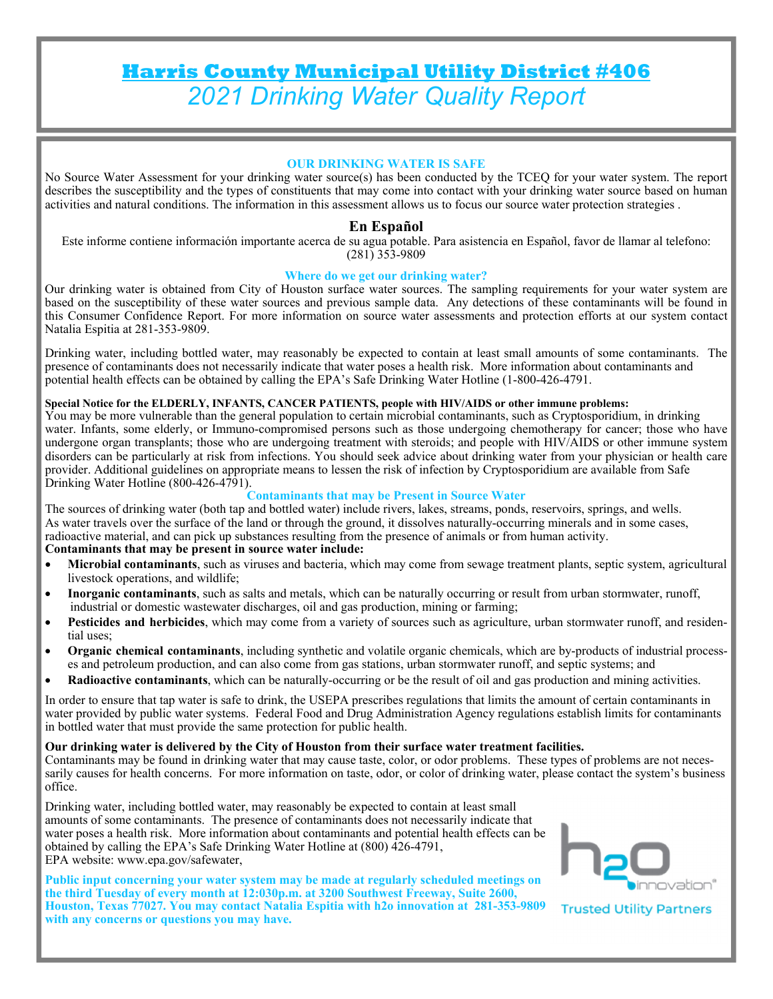# **Harris County Municipal Utility District #406**  *2021 Drinking Water Quality Report*

#### **OUR DRINKING WATER IS SAFE**

No Source Water Assessment for your drinking water source(s) has been conducted by the TCEQ for your water system. The report describes the susceptibility and the types of constituents that may come into contact with your drinking water source based on human activities and natural conditions. The information in this assessment allows us to focus our source water protection strategies .

## **En Español**

Este informe contiene información importante acerca de su agua potable. Para asistencia en Español, favor de llamar al telefono: (281) 353-9809

#### **Where do we get our drinking water?**

Our drinking water is obtained from City of Houston surface water sources. The sampling requirements for your water system are based on the susceptibility of these water sources and previous sample data. Any detections of these contaminants will be found in this Consumer Confidence Report. For more information on source water assessments and protection efforts at our system contact Natalia Espitia at 281-353-9809.

Drinking water, including bottled water, may reasonably be expected to contain at least small amounts of some contaminants. The presence of contaminants does not necessarily indicate that water poses a health risk. More information about contaminants and potential health effects can be obtained by calling the EPA's Safe Drinking Water Hotline (1-800-426-4791.

#### **Special Notice for the ELDERLY, INFANTS, CANCER PATIENTS, people with HIV/AIDS or other immune problems:**

You may be more vulnerable than the general population to certain microbial contaminants, such as Cryptosporidium, in drinking water. Infants, some elderly, or Immuno-compromised persons such as those undergoing chemotherapy for cancer; those who have undergone organ transplants; those who are undergoing treatment with steroids; and people with HIV/AIDS or other immune system disorders can be particularly at risk from infections. You should seek advice about drinking water from your physician or health care provider. Additional guidelines on appropriate means to lessen the risk of infection by Cryptosporidium are available from Safe Drinking Water Hotline (800-426-4791).

#### **Contaminants that may be Present in Source Water**

The sources of drinking water (both tap and bottled water) include rivers, lakes, streams, ponds, reservoirs, springs, and wells. As water travels over the surface of the land or through the ground, it dissolves naturally-occurring minerals and in some cases, radioactive material, and can pick up substances resulting from the presence of animals or from human activity.

### **Contaminants that may be present in source water include:**

- **Microbial contaminants**, such as viruses and bacteria, which may come from sewage treatment plants, septic system, agricultural livestock operations, and wildlife;
- **Inorganic contaminants**, such as salts and metals, which can be naturally occurring or result from urban stormwater, runoff, industrial or domestic wastewater discharges, oil and gas production, mining or farming;
- **Pesticides and herbicides**, which may come from a variety of sources such as agriculture, urban stormwater runoff, and residential uses;
- **Organic chemical contaminants**, including synthetic and volatile organic chemicals, which are by-products of industrial processes and petroleum production, and can also come from gas stations, urban stormwater runoff, and septic systems; and
- **Radioactive contaminants**, which can be naturally-occurring or be the result of oil and gas production and mining activities.

In order to ensure that tap water is safe to drink, the USEPA prescribes regulations that limits the amount of certain contaminants in water provided by public water systems. Federal Food and Drug Administration Agency regulations establish limits for contaminants in bottled water that must provide the same protection for public health.

#### **Our drinking water is delivered by the City of Houston from their surface water treatment facilities.**

Contaminants may be found in drinking water that may cause taste, color, or odor problems. These types of problems are not necessarily causes for health concerns. For more information on taste, odor, or color of drinking water, please contact the system's business office.

Drinking water, including bottled water, may reasonably be expected to contain at least small amounts of some contaminants. The presence of contaminants does not necessarily indicate that water poses a health risk. More information about contaminants and potential health effects can be obtained by calling the EPA's Safe Drinking Water Hotline at (800) 426-4791, EPA website: www.epa.gov/safewater,

**Public input concerning your water system may be made at regularly scheduled meetings on the third Tuesday of every month at 12:030p.m. at 3200 Southwest Freeway, Suite 2600, Houston, Texas 77027. You may contact Natalia Espitia with h2o innovation at 281-353-9809 with any concerns or questions you may have.** 



**Trusted Utility Partners**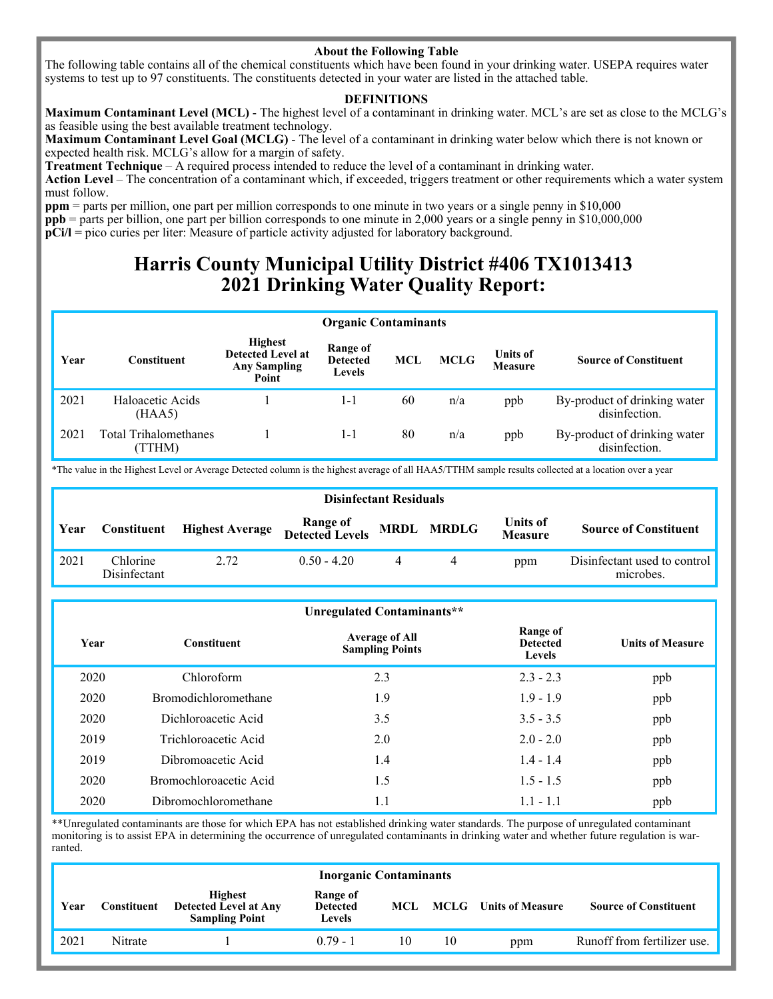#### **About the Following Table**

The following table contains all of the chemical constituents which have been found in your drinking water. USEPA requires water systems to test up to 97 constituents. The constituents detected in your water are listed in the attached table.

#### **DEFINITIONS**

**Maximum Contaminant Level (MCL)** - The highest level of a contaminant in drinking water. MCL's are set as close to the MCLG's as feasible using the best available treatment technology.

**Maximum Contaminant Level Goal (MCLG)** - The level of a contaminant in drinking water below which there is not known or expected health risk. MCLG's allow for a margin of safety.

**Treatment Technique** – A required process intended to reduce the level of a contaminant in drinking water.

**Action Level** – The concentration of a contaminant which, if exceeded, triggers treatment or other requirements which a water system must follow.

**ppm** = parts per million, one part per million corresponds to one minute in two years or a single penny in \$10,000 **ppb** = parts per billion, one part per billion corresponds to one minute in 2,000 years or a single penny in \$10,000,000 **pCi/l** = pico curies per liter: Measure of particle activity adjusted for laboratory background.

# **Harris County Municipal Utility District #406 TX1013413 2021 Drinking Water Quality Report:**

|      | <b>Organic Contaminants</b>    |                                                              |                                              |            |             |                                   |                                               |  |  |  |
|------|--------------------------------|--------------------------------------------------------------|----------------------------------------------|------------|-------------|-----------------------------------|-----------------------------------------------|--|--|--|
| Year | Constituent                    | <b>Highest</b><br>Detected Level at<br>Any Sampling<br>Point | Range of<br><b>Detected</b><br><b>Levels</b> | <b>MCL</b> | <b>MCLG</b> | <b>Units of</b><br><b>Measure</b> | <b>Source of Constituent</b>                  |  |  |  |
| 2021 | Haloacetic Acids<br>(HAA5)     |                                                              | 1-1                                          | 60         | n/a         | ppb                               | By-product of drinking water<br>disinfection. |  |  |  |
| 2021 | Total Trihalomethanes<br>TTHM) |                                                              | 1-1                                          | 80         | n/a         | ppb                               | By-product of drinking water<br>disinfection. |  |  |  |

\*The value in the Highest Level or Average Detected column is the highest average of all HAA5/TTHM sample results collected at a location over a year

|      | <b>Disinfectant Residuals</b> |                        |                                        |  |   |                                   |                                           |  |  |
|------|-------------------------------|------------------------|----------------------------------------|--|---|-----------------------------------|-------------------------------------------|--|--|
| Year | Constituent                   | <b>Highest Average</b> | Range of<br>Detected Levels MRDL MRDLG |  |   | <b>Units of</b><br><b>Measure</b> | <b>Source of Constituent</b>              |  |  |
| 2021 | Chlorine<br>Disinfectant      | 2.72                   | $0.50 - 4.20$                          |  | 4 | ppm                               | Disinfectant used to control<br>microbes. |  |  |

| Unregulated Contaminants** |                             |                                                 |                                              |                         |  |  |  |  |  |
|----------------------------|-----------------------------|-------------------------------------------------|----------------------------------------------|-------------------------|--|--|--|--|--|
| Year                       | <b>Constituent</b>          | <b>Average of All</b><br><b>Sampling Points</b> | Range of<br><b>Detected</b><br><b>Levels</b> | <b>Units of Measure</b> |  |  |  |  |  |
| 2020                       | Chloroform                  | 2.3                                             | $2.3 - 2.3$                                  | ppb                     |  |  |  |  |  |
| 2020                       | <b>Bromodichloromethane</b> | 1.9                                             | $1.9 - 1.9$                                  | ppb                     |  |  |  |  |  |
| 2020                       | Dichloroacetic Acid         | 3.5                                             | $3.5 - 3.5$                                  | ppb                     |  |  |  |  |  |
| 2019                       | Trichloroacetic Acid        | 2.0                                             | $2.0 - 2.0$                                  | ppb                     |  |  |  |  |  |
| 2019                       | Dibromoacetic Acid          | 1.4                                             | $1.4 - 1.4$                                  | ppb                     |  |  |  |  |  |
| 2020                       | Bromochloroacetic Acid      | 1.5                                             | $1.5 - 1.5$                                  | ppb                     |  |  |  |  |  |
| 2020                       | Dibromochloromethane        | 1.1                                             | $1.1 - 1.1$                                  | ppb                     |  |  |  |  |  |

\*\*Unregulated contaminants are those for which EPA has not established drinking water standards. The purpose of unregulated contaminant monitoring is to assist EPA in determining the occurrence of unregulated contaminants in drinking water and whether future regulation is warranted.

|      | <b>Inorganic Contaminants</b> |                                                                         |                                              |    |    |                                  |                              |  |  |
|------|-------------------------------|-------------------------------------------------------------------------|----------------------------------------------|----|----|----------------------------------|------------------------------|--|--|
| Year | C <b>onstituent</b>           | <b>Highest</b><br><b>Detected Level at Any</b><br><b>Sampling Point</b> | Range of<br><b>Detected</b><br><b>Levels</b> |    |    | <b>MCL MCLG</b> Units of Measure | <b>Source of Constituent</b> |  |  |
| 2021 | <b>Nitrate</b>                |                                                                         | $079 - 1$                                    | 10 | 10 | ppm                              | Runoff from fertilizer use.  |  |  |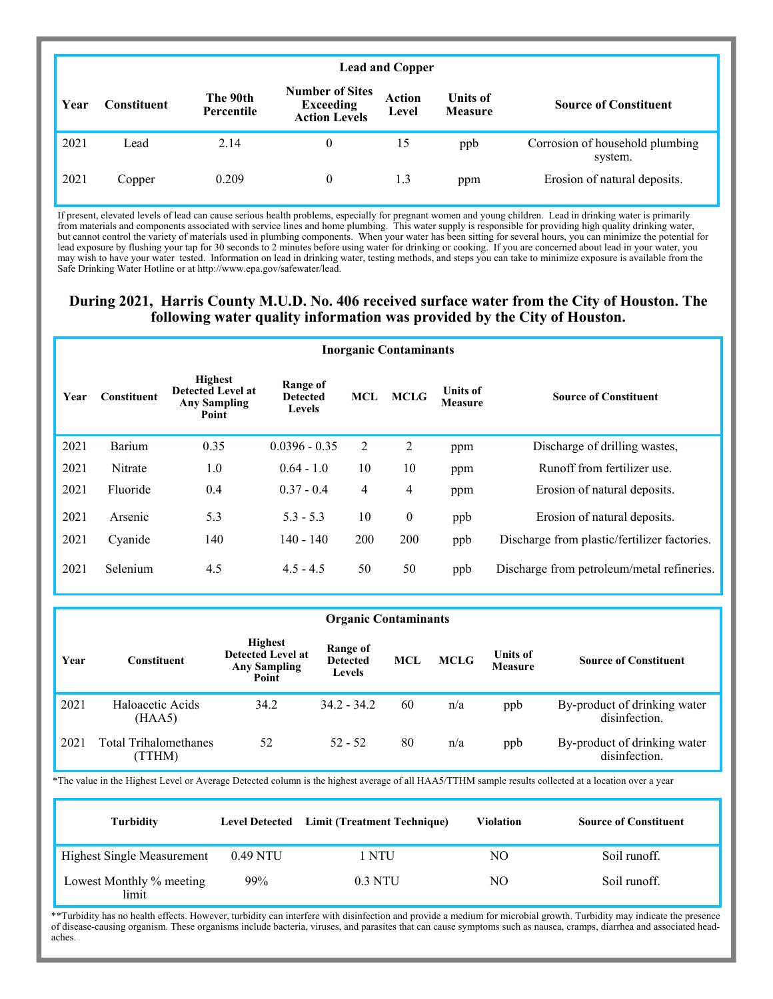|      | <b>Lead and Copper</b> |                        |                                                                    |                        |                                   |                                            |  |  |  |
|------|------------------------|------------------------|--------------------------------------------------------------------|------------------------|-----------------------------------|--------------------------------------------|--|--|--|
| Year | <b>Constituent</b>     | The 90th<br>Percentile | <b>Number of Sites</b><br><b>Exceeding</b><br><b>Action Levels</b> | <b>Action</b><br>Level | <b>Units of</b><br><b>Measure</b> | <b>Source of Constituent</b>               |  |  |  |
| 2021 | Lead                   | 2.14                   | $\theta$                                                           | 15                     | ppb                               | Corrosion of household plumbing<br>system. |  |  |  |
| 2021 | Copper                 | 0.209                  | 0                                                                  | 1.3                    | ppm                               | Erosion of natural deposits.               |  |  |  |

If present, elevated levels of lead can cause serious health problems, especially for pregnant women and young children. Lead in drinking water is primarily from materials and components associated with service lines and home plumbing. This water supply is responsible for providing high quality drinking water, but cannot control the variety of materials used in plumbing components. When your water has been sitting for several hours, you can minimize the potential for lead exposure by flushing your tap for 30 seconds to 2 minutes before using water for drinking or cooking. If you are concerned about lead in your water, you may wish to have your water tested. Information on lead in drinking water, testing methods, and steps you can take to minimize exposure is available from the Safe Drinking Water Hotline or at http://www.epa.gov/safewater/lead.

# **During 2021, Harris County M.U.D. No. 406 received surface water from the City of Houston. The following water quality information was provided by the City of Houston.**

|      | <b>Inorganic Contaminants</b> |                                                                     |                                       |                |              |                            |                                              |  |  |  |  |
|------|-------------------------------|---------------------------------------------------------------------|---------------------------------------|----------------|--------------|----------------------------|----------------------------------------------|--|--|--|--|
| Year | <b>Constituent</b>            | <b>Highest</b><br>Detected Level at<br><b>Any Sampling</b><br>Point | Range of<br><b>Detected</b><br>Levels | <b>MCL</b>     | <b>MCLG</b>  | <b>Units of</b><br>Measure | <b>Source of Constituent</b>                 |  |  |  |  |
| 2021 | <b>Barium</b>                 | 0.35                                                                | $0.0396 - 0.35$                       | 2              | 2            | ppm                        | Discharge of drilling wastes,                |  |  |  |  |
| 2021 | Nitrate                       | 1.0                                                                 | $0.64 - 1.0$                          | 10             | 10           | ppm                        | Runoff from fertilizer use.                  |  |  |  |  |
| 2021 | Fluoride                      | 0.4                                                                 | $0.37 - 0.4$                          | $\overline{4}$ | 4            | ppm                        | Erosion of natural deposits.                 |  |  |  |  |
| 2021 | Arsenic                       | 5.3                                                                 | $5.3 - 5.3$                           | 10             | $\mathbf{0}$ | ppb                        | Erosion of natural deposits.                 |  |  |  |  |
| 2021 | Cyanide                       | 140                                                                 | $140 - 140$                           | 200            | 200          | ppb                        | Discharge from plastic/fertilizer factories. |  |  |  |  |
| 2021 | Selenium                      | 4.5                                                                 | $4.5 - 4.5$                           | 50             | 50           | ppb                        | Discharge from petroleum/metal refineries.   |  |  |  |  |

|      | <b>Organic Contaminants</b>    |                                                                            |                                              |            |             |                                   |                                               |  |  |  |
|------|--------------------------------|----------------------------------------------------------------------------|----------------------------------------------|------------|-------------|-----------------------------------|-----------------------------------------------|--|--|--|
| Year | Constituent                    | <b>Highest</b><br><b>Detected Level at</b><br><b>Any Sampling</b><br>Point | Range of<br><b>Detected</b><br><b>Levels</b> | <b>MCL</b> | <b>MCLG</b> | <b>Units of</b><br><b>Measure</b> | <b>Source of Constituent</b>                  |  |  |  |
| 2021 | Haloacetic Acids<br>(HAA5)     | 34.2                                                                       | $34.2 - 34.2$                                | 60         | n/a         | ppb                               | By-product of drinking water<br>disinfection. |  |  |  |
| 2021 | Total Trihalomethanes<br>TTHM) | 52                                                                         | $52 - 52$                                    | 80         | n/a         | ppb                               | By-product of drinking water<br>disinfection. |  |  |  |

\*The value in the Highest Level or Average Detected column is the highest average of all HAA5/TTHM sample results collected at a location over a year

| <b>Turbidity</b>                  | <b>Level Detected</b> | Limit (Treatment Technique) | <b>Violation</b> | <b>Source of Constituent</b> |
|-----------------------------------|-----------------------|-----------------------------|------------------|------------------------------|
| <b>Highest Single Measurement</b> | 0.49 NTU              | l NTU                       | NO               | Soil runoff.                 |
| Lowest Monthly % meeting<br>limit | 99%                   | $0.3$ NTU                   | NO               | Soil runoff.                 |

\*\*Turbidity has no health effects. However, turbidity can interfere with disinfection and provide a medium for microbial growth. Turbidity may indicate the presence of disease-causing organism. These organisms include bacteria, viruses, and parasites that can cause symptoms such as nausea, cramps, diarrhea and associated headaches.